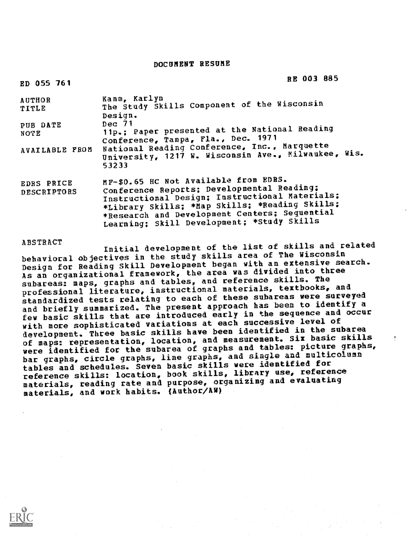# DOCUMENT RESUME

| ED 055 761                       | RE 003 885                                                                                                                                                                                                                                                                             |
|----------------------------------|----------------------------------------------------------------------------------------------------------------------------------------------------------------------------------------------------------------------------------------------------------------------------------------|
| <b>AUTHOR</b><br>TITLE           | Kamm, Karlyn<br>The Study Skills Component of the Wisconsin<br>Design.                                                                                                                                                                                                                 |
| PUB DATE<br><b>NOTE</b>          | Dec~71<br>11p.; Paper presented at the National Reading<br>Conference, Tampa, Fla., Dec. 1971                                                                                                                                                                                          |
| AVAILABLE FROM                   | National Reading Conference, Inc., Marquette<br>University, 1217 W. Wisconsin Ave., Milwaukee, Wis.<br>53233                                                                                                                                                                           |
| <b>EDRS PRICE</b><br>DESCRIPTORS | MF-\$0.65 HC Not Available from EDRS.<br>Conference Reports; Developmental Reading;<br>Instructional Design; Instructional Materials;<br>*Library Skills; *Map Skills; *Reading Skills;<br>*Research and Development Centers; Sequential<br>Learning; Skill Development; *Study Skills |

ABSTRACT Initial development of the list of skills and related behavioral objectives in the study skills area of The Wisconsin Design for Reading Skill Development began with an extensive search. As an organizational framework, the area was divided into three subareas: maps, graphs and tables, and reference skills. The professional literature, instructional materials, textbooks, and standardized tests relating to each of these subareas were surveyed and briefly summarized. The present approach has been to identify a few basic skills that are introduced early in the sequence and occur with more sophisticated variations at each successive level of development. Three basic skills have been identified in the subarea of maps: representation, location, and measurement. Six basic skills were identified for the subarea of graphs and tables: picture graphs, bar graphs, circle graphs, line graphs, and single and multicolumn tables and schedules. Seven basic skills were identified for reference skills: location, book skills, library use, reference materials, reading rate and purpose, organizing and evaluating materials, and work habits. (Author/AW)

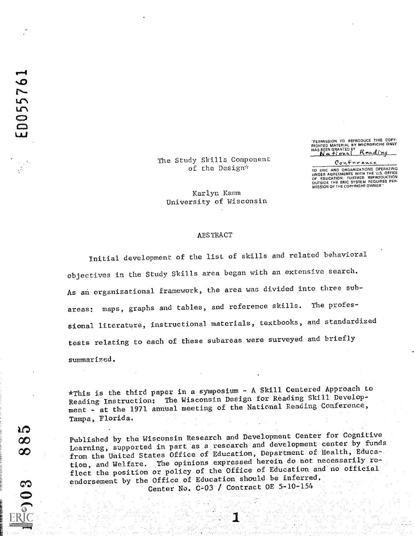"PERMISSION TO REPRODUCE THIS COPY-<br>RIGHTED MATERIAL BY MICROFICHE ONLY<br>HAS BEEN GRANTED BY ROOL ALLOCAL

Conference

TO ERIC AND ORGANIZATIONS OPERATING<br>UNDER AGREEMENTS WITH THE U.S. OFFICE<br>OF EDUCATION. FURTHER REPRODUCTION<br>OUTSION OF THE COPYRIGHT OWNER."<br>MISSION OF THE COPYRIGHT OWNER."

The Study Skills Component of the Design\*

Karlyn Kamm University of Wisconsin

#### ABSTRACT

Initial development of the list of skills and related behavioral objectives in the Study Skills area began with an extensive search. As an organizational framework, the area was divided into three subareas: maps, graphs and tables, and reference skills. The professional literature, instructional materials, textbooks, and standardized tests relating to each of these subareas were surveyed and briefly summarized.

\*This is the third paper in a symposium - A Skill Centered Approach to Reading Instruction: The Wisconsin Design for Reading Skill Development - at the 1971 annual meeting of the National Reading Conference, Tampa, Florida.

Published by the Wisconsin Research and Development Center for Cognittve Learning, supported in part as a research and development center by funds from the United States Office of Education, Department of Health, Education, and Welfare. The opinions expressed herein do not necessarily reflect the position or policy of the Office of Education and no official endorsement by the Office of Education should be inferred. Center No. C-03 / Contract OE 5-10-154

Cep (o)

מנ  $\infty$  $\infty$ 

ED05576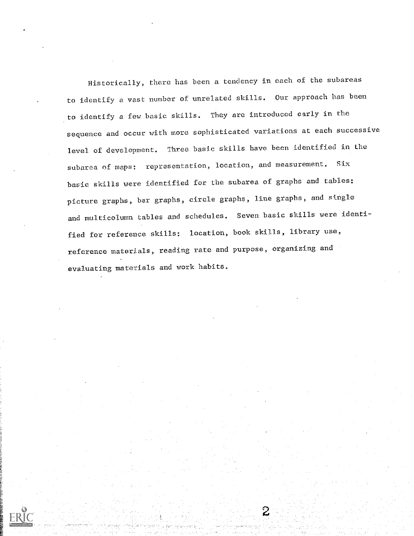Historically, there has been a tendency in each of the subareas to identify a vast number of unrelated skills. Our approach has been to identify a few basic skills. They are introduced early in the sequence and occur with more sophisticated variations at each successive level of development. Three basic skills have been identified in the subarea of maps: representation, location, and measurement. Six basic skills were identified for the subarea of graphs and tables: picture graphs, bar graphs, circle graphs, line graphs, and stngle and multicolumn tables and schedules. Seven basic skills were identified for reference skills: location, book skills, library use, reference materials, reading rate and purpose, organizing and evaluating materials and work habits.

2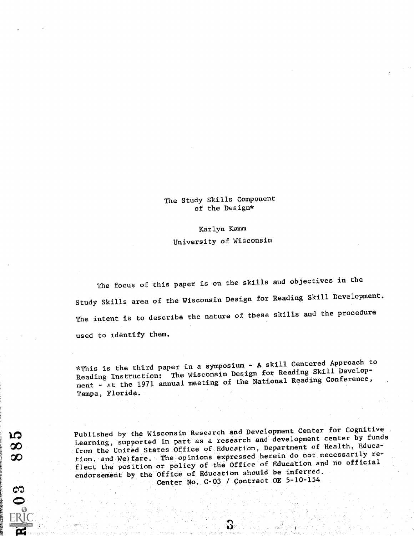The Study Skills Component of the Design\*

Karlyn Kemm University of Wisconsin

The focus of this paper is on the skills aud objectives in the Study Skills area of the Wisconsin Design for Reading Skill Development. The intent is to describe the nature of these skills and the procedure used to identify them.

\*This is the third paper in a symposium - A skill Centered Approach to Reading Instruction: The Wisconsin Design for Reading Skill Development - at the 1971 annual meeting of the National Reading Conference, Tampa, Florida.

Published by the Wisconsin Research and Development Center for Cognitive Learning, supported in part as a research and development center by funds from the United States Office of Education, Department of Health, Education. and Welfare. The opinions expressed herein do not necessarily reflect the position or policy of the Office of Education and no official endorsement by the Office of Education should be inferred. Center No. C-03 / Contract OE 5-10-154

ロ ထ œ

<u>۾</u>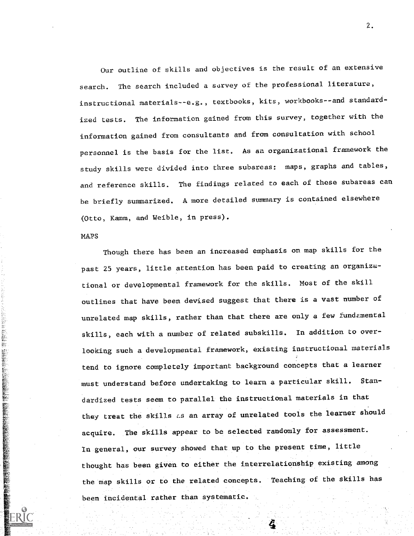Our outline of skills and objectives is the result of an extensive search. The search included a survey of the professional literature, instructional materials--e.g., textbooks, kits, workbooks--and standardized tests. The information gained from this survey, together with the information gained from consultants and from consultation with school personnel is the basis for the list. As an organizational framework the study skills were divided into three subareas: maps, graphs and tables, and reference skills. The findings related to each of these subareas can be briefly summarized. A more detailed summary is contained elsewhere (Otto, Kamm, and Weible, in press).

## NAPS

Though there has been an increased emphasis on map skills for the past 25 years, little attention has been paid to creating an organizational or developmental framework for the skills. Most of the skill outlines that have been devised suggest Chat there is a vast number of unrelated map skills, rather than that there are only a few fundamental skills, each with a number of related subskills. In addition to overlooking such a developmental framework, existing instructional materials tend to ignore completely important background concepts that a learner must understand before undertaking to learn a particular skill. Standardized tests seem to parallel the instructional materials in that they treat the skills as an array of unrelated tools the learner should acquire. The skills appear to be selected randomly for assessment. In general, our survey showed that up to the present time, little thought has been given to either the interrelationship existing among the map skills or to the related concepts. Teaching of the skills has been incidental rather than systematic.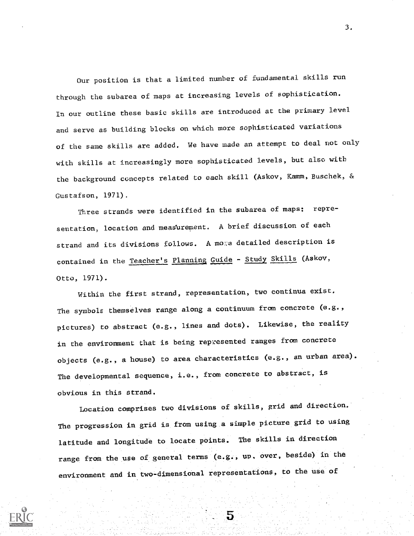Our position is that a limited number of fundamental skills run through the subarea of maps at increasing levels of sophistication. In our outline these basic skills are introduced at the primary level and serve as building blocks on which more sophisticated variations of the same skills are added. We have made an attempt to deal not only with skills at increasingly more sophisticated levels, but also with the background concepts related to each skill (Askov, Kamm, Euschek, & Gustafson, 1971).

Three strands were identified in the subarea of maps: representation, location and measurement. A brief discussion of each strand and its divisions follows. A mome detailed description is contained in the Teacher's Planning Guide - Study Skills (Askov, Otto, 1971).

Within the first strand, representation, two continua exist. The symbols themselves range along a continuum from concrete (e.g., pictures) to abstract (e.g., lines and dots). Likewise, the reality in the environment that is being represented ranges from concrete objects (e.g., a house) to area characteristics (e.g., an urban area). The developmental sequence, i.e., from concrete to abstract, is obvious in this strand.

Location comprises two divisions of skills, grid and direction. The progression in grid is from using a simple picture grid to using latitude and longitude to locate points. The skills in direction range from the use of general terms (e.g., up. over, beside) in the environment and in two-dimensional representations, to the use of

5

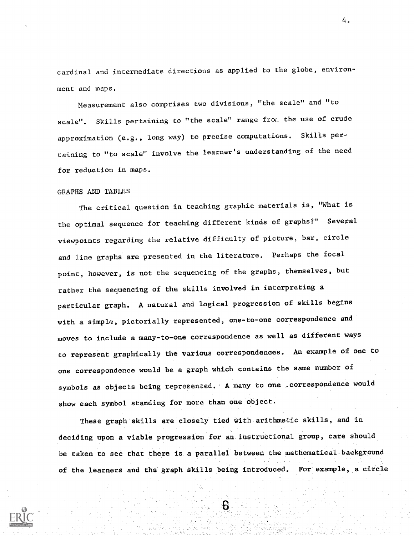cardinal and intermediate directions as applied to the globe, environment and maps.

Measurement also comprises two divisions, "the scale" and "to scale". Skills pertaining to "the scale" range from the use of crude approximation (e.g., long way) to precise computations. Skills pertaining to "to scale" involve the learner' s understanding of the need for reduction in maps.

## GRAPHS AND TABLES

The critical question in teaching graphic materials is, 'What is the optimal sequence for teaching different kinds of graphs?" Several viewpoints regarding the relative difficulty of picture, bar, circle and line graphs are presented in the literature. Perhaps the focal point, however, is not the sequencing of the graphs, themselves, but rather the sequencing of the skills involved in interpreting a particular graph. A natural and logical progression of skills begins with a simple, pictorially represented, one-to-one correspondence and moves to include a many-to-one correspondence as well as different ways to represent graphically the various correspondences. An example of one to one correspondence would be a graph which contains the same number of symbols as objects being represented. A many to one , correspondence would show each symbol standing for more than one object.

These graph skills are closely tied with arithmetic skills, and in deciding upon a viable progression for an instructional group, care should be taken to see that there is a parallel between the mathematical background of the learners and the graph skills being introduced. For example, a circle

6

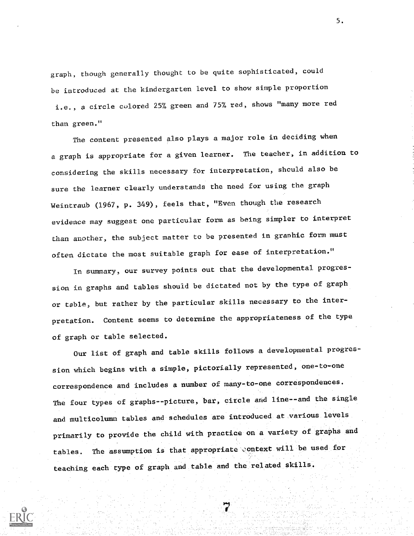graph, though generally thought to be quite sophisticated, could be introduced at the kindergarten level to show simple proportion i.e., a circle colored 25% green and 75% red, shows "many more red than green."

The content presented also plays a major role in deciding when a graph is appropriate for a given learner. The teacher, in addition to considering the skills necessary for interpretation, should also be sure the learner clearly understands the need for using the graph Weintraub (1967, p. 349), feels that, "Even though the research evidence may suggest one particular form as being simpler to interpret than another, the subject matter to be presented in graphic form must often dictate the most suitable graph for ease of interpretation."

In summary, our survey points out that the developmental progression in graphs and tables should be dictated not by the type of graph or table, but rather by the particular skills necessary to the interpretation. Content seems to determine the appropriateness of the type of graph or table selected.

Our list of graph and table skills follows a developmental progression which begins with a simple, pictorially represented, one-to-one correspondence and includes a number of many-to-one correspondences. The four types of graphs--picture, bar, circle and line--and the single and multicolumn tables and schedules are introduced at various levels primarily to provide the child with practice on a variety of graphs and tables. The assumption is that appropriate context will be used for teaching each type of graph and table and the related skills.

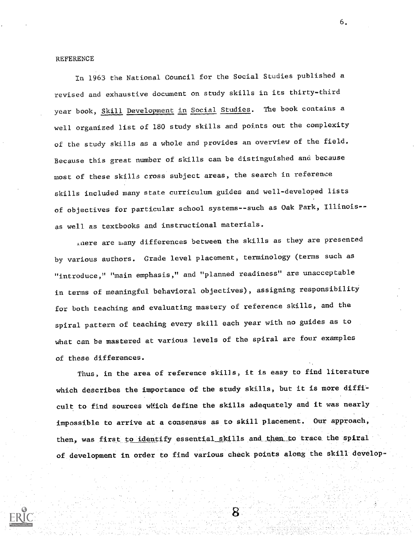#### REFERENCE

In 1963 the National Council for the Social Studies published a revised and exhaustive document on study skills in its thirty-third year book, Skill Development in Social Studies. The book contains a well organized list of 180 study skills and points out the complexity of the study skills as a whole and provides an overview of the field. Because this great number of skills can be distinguished and because most of these skills cross subject areas, the search in reference skills included many state curriculum guides and well-developed lists of objectives for particular school systems--such as Oak Park, Illinois-as well as textbooks and instructional materials.

Lnere are many differences between the skills as they are presented by various authors. Grade level placement, terminology (terms such as "introduce," "main emphasis," and "planned readiness" are unacceptable in terms of meaningful behavioral objectives), assigning responsibility for both teaching and evaluating mastery of reference skills, and the spiral pattern of teaching every skill each year with no guides as to what can be mastered at various levels of the spiral are four examples of these differences.

Thus, in the area of reference skills, it is easy to find literature which describes the importance of the study skills, but it is more difftcult to find sources wMich define the skills adequately and it was nearly impossible to arrive at a consensus as to skill placement. Our approach, then, was first to identify essential skills and then to trace the spiral of development in order to find various check points along the skill develop-

Χ

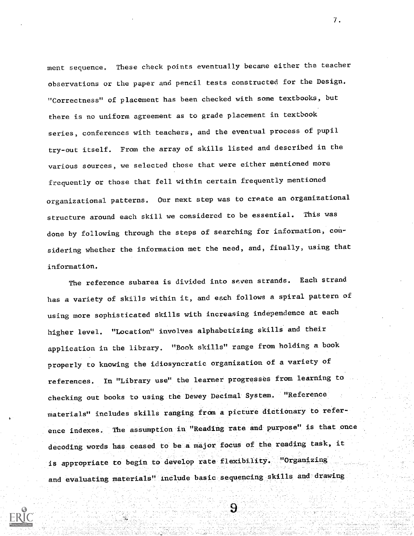ment sequence. These check points eventually became either the teacher observations or the paper and pencil tests constructed for the Design. "Correctness" of placement has been checked with some textbooks, but there is no uniform agreement as to grade placement in textbook series, conferences with teachers, and the eventual process of pupil try-out itself. From the array of skills listed and described in the various sources, we selected those that were either mentioned more frequently or those that fell within certain frequently mentioned organizational patterns. Our next step was to create an organizational structure around each skill we considered to be essential. This was done by following through the steps of searching for information, considering whether the information met the need, and, finally, using that information.

The reference subarea is divided into seven strands. Each strand has a variety of skills within it, and each follows a spiral pattern of using more sophisticated skills with increasing independence at each higher level. "Location" involves alphabetizing skills and their application in the library. "Book skills" range from holding a book properly to knowing the idiosyncratic organization of a variety of references. In "Library use" the learner progresses from learning to checking out books to using the Dewey Decimal System. "Reference materials" includes skills ranging from a picture dictionary to reference indexes. The assumption in "Reading rate and purpose" is that once decoding words has ceased to be a major focus of the reading task, it is appropriate to begin to develop rate flexibility. "Organizing and evaluating materials" include basic sequencing skills and drawing

9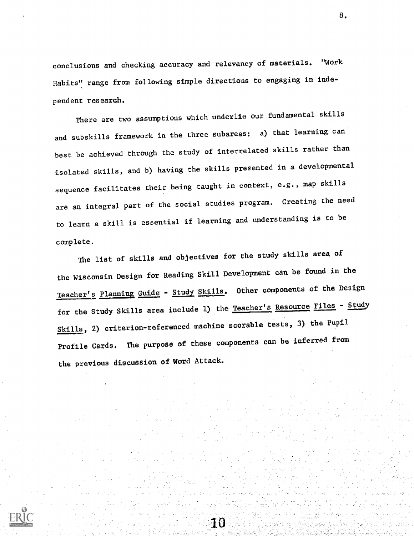conclusions and checking accuracy and relevancy of materials. "Work Habits" range from following simple directions to engaging in independent research.

There are two assumptions which underlie our fundamental skills and subskills framework in the three subareas: a) that learning can best be achieved through the study of interrelated skills rather than isolated skills, and b) having the skills presented in a developmental sequence facilitates their being taught in context, e.g., map skills are an integral part of the social studies program. Creating the need to learn a skill is essential if learning and understanding is to be complete.

The list of skills and objectives for the study skills area of the Wisconsin Design for Reading Skill Development can be found in the Teacher's Planning <u>Guide</u> - <u>Study Skills</u>. Other components of the Design for the Study Skills area include 1) the Teacher's Resource Files - Study Skills, 2) criterion-referenced machine scorable tests, 3) the Pupil Profile Cards. The purpose of these components can be inferred from the previous discussion of Word Attack.

10